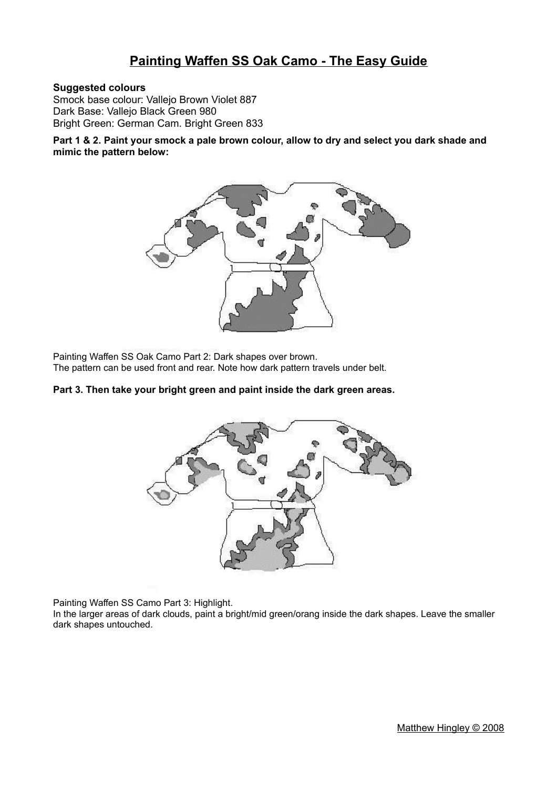# **Painting Waffen SS Oak Camo - The Easy Guide**

### **Suggested colours**

Smock base colour: Vallejo Brown Violet 887 Dark Base: Vallejo Black Green 980 Bright Green: German Cam. Bright Green 833

**Part 1 & 2. Paint your smock a pale brown colour, allow to dry and select you dark shade and mimic the pattern below:**



Painting Waffen SS Oak Camo Part 2: Dark shapes over brown. The pattern can be used front and rear. Note how dark pattern travels under belt.

#### **Part 3. Then take your bright green and paint inside the dark green areas.**



Painting Waffen SS Camo Part 3: Highlight.

In the larger areas of dark clouds, paint a bright/mid green/orang inside the dark shapes. Leave the smaller dark shapes untouched.